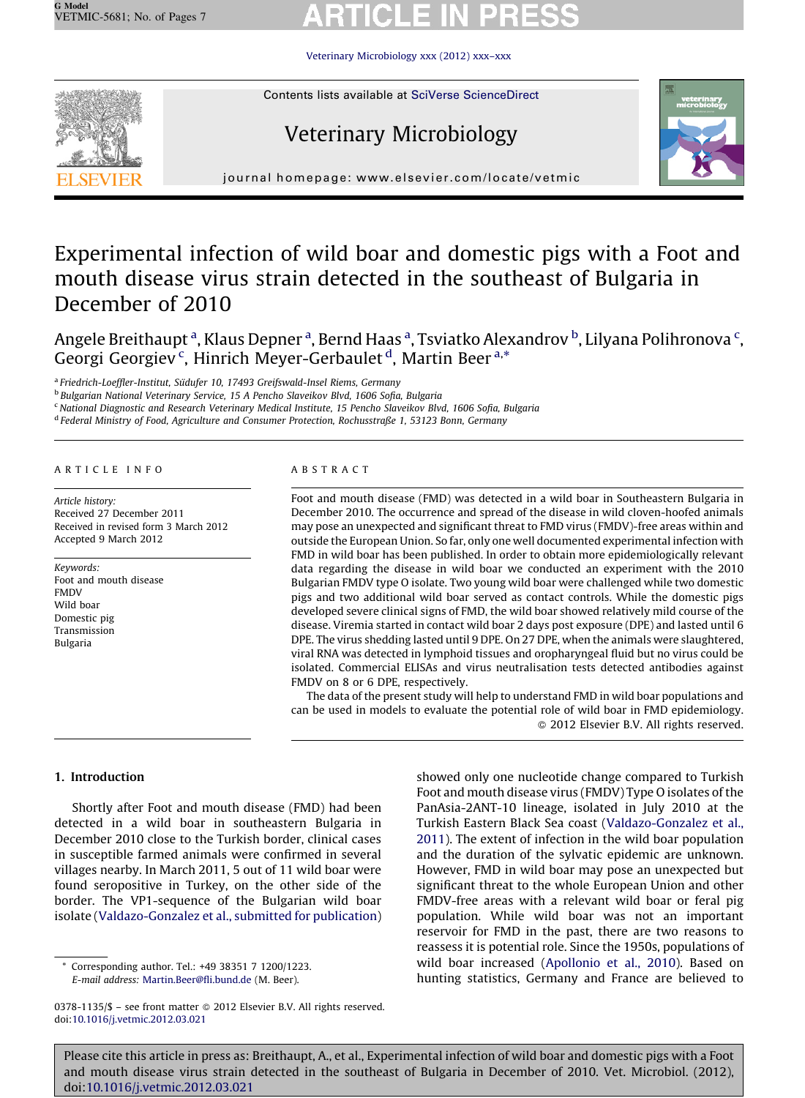Veterinary [Microbiology](http://dx.doi.org/10.1016/j.vetmic.2012.03.021) xxx (2012) xxx–xxx



Contents lists available at SciVerse [ScienceDirect](http://www.sciencedirect.com/science/journal/03781135)

# Veterinary Microbiology



journal homepage: www.elsevier.com/locate/vetmic

## Experimental infection of wild boar and domestic pigs with a Foot and mouth disease virus strain detected in the southeast of Bulgaria in December of 2010

Angele Breithaupt <sup>a</sup>, Klaus Depner <sup>a</sup>, Bernd Haas <sup>a</sup>, Tsviatko Alexandrov <sup>b</sup>, Lilyana Polihronova <sup>c</sup>, Georgi Georgiev<sup>c</sup>, Hinrich Meyer-Gerbaulet<sup>d</sup>, Martin Beer<sup>a,\*</sup>

<sup>a</sup> Friedrich-Loeffler-Institut, Südufer 10, 17493 Greifswald-Insel Riems, Germany

<sup>b</sup> Bulgarian National Veterinary Service, 15 A Pencho Slaveikov Blvd, 1606 Sofia, Bulgaria

<sup>c</sup> National Diagnostic and Research Veterinary Medical Institute, 15 Pencho Slaveikov Blvd, 1606 Sofia, Bulgaria

<sup>d</sup> Federal Ministry of Food, Agriculture and Consumer Protection, Rochusstraße 1, 53123 Bonn, Germany

### A R T I C L E I N F O

Article history: Received 27 December 2011 Received in revised form 3 March 2012 Accepted 9 March 2012

Keywords: Foot and mouth disease FMDV Wild boar Domestic pig Transmission Bulgaria

### A B S T R A C T

Foot and mouth disease (FMD) was detected in a wild boar in Southeastern Bulgaria in December 2010. The occurrence and spread of the disease in wild cloven-hoofed animals may pose an unexpected and significant threat to FMD virus (FMDV)-free areas within and outside the European Union. So far, only one well documented experimental infection with FMD in wild boar has been published. In order to obtain more epidemiologically relevant data regarding the disease in wild boar we conducted an experiment with the 2010 Bulgarian FMDV type O isolate. Two young wild boar were challenged while two domestic pigs and two additional wild boar served as contact controls. While the domestic pigs developed severe clinical signs of FMD, the wild boar showed relatively mild course of the disease. Viremia started in contact wild boar 2 days post exposure (DPE) and lasted until 6 DPE. The virus shedding lasted until 9 DPE. On 27 DPE, when the animals were slaughtered, viral RNA was detected in lymphoid tissues and oropharyngeal fluid but no virus could be isolated. Commercial ELISAs and virus neutralisation tests detected antibodies against FMDV on 8 or 6 DPE, respectively.

The data of the present study will help to understand FMD in wild boar populations and can be used in models to evaluate the potential role of wild boar in FMD epidemiology. - 2012 Elsevier B.V. All rights reserved.

### 1. Introduction

Shortly after Foot and mouth disease (FMD) had been detected in a wild boar in southeastern Bulgaria in December 2010 close to the Turkish border, clinical cases in susceptible farmed animals were confirmed in several villages nearby. In March 2011, 5 out of 11 wild boar were found seropositive in Turkey, on the other side of the border. The VP1-sequence of the Bulgarian wild boar isolate ([Valdazo-Gonzalez](#page-6-0) et al., submitted for publication)

Corresponding author. Tel.: +49 38351 7 1200/1223. E-mail address: [Martin.Beer@fli.bund.de](mailto:Martin.Beer@fli.bund.de) (M. Beer).

showed only one nucleotide change compared to Turkish Foot and mouth disease virus (FMDV) Type O isolates of the PanAsia-2ANT-10 lineage, isolated in July 2010 at the Turkish Eastern Black Sea coast [\(Valdazo-Gonzalez](#page-6-0) et al., [2011](#page-6-0)). The extent of infection in the wild boar population and the duration of the sylvatic epidemic are unknown. However, FMD in wild boar may pose an unexpected but significant threat to the whole European Union and other FMDV-free areas with a relevant wild boar or feral pig population. While wild boar was not an important reservoir for FMD in the past, there are two reasons to reassess it is potential role. Since the 1950s, populations of wild boar increased [\(Apollonio](#page-5-0) et al., 2010). Based on hunting statistics, Germany and France are believed to

<sup>0378-1135/\$ –</sup> see front matter © 2012 Elsevier B.V. All rights reserved. doi:[10.1016/j.vetmic.2012.03.021](http://dx.doi.org/10.1016/j.vetmic.2012.03.021)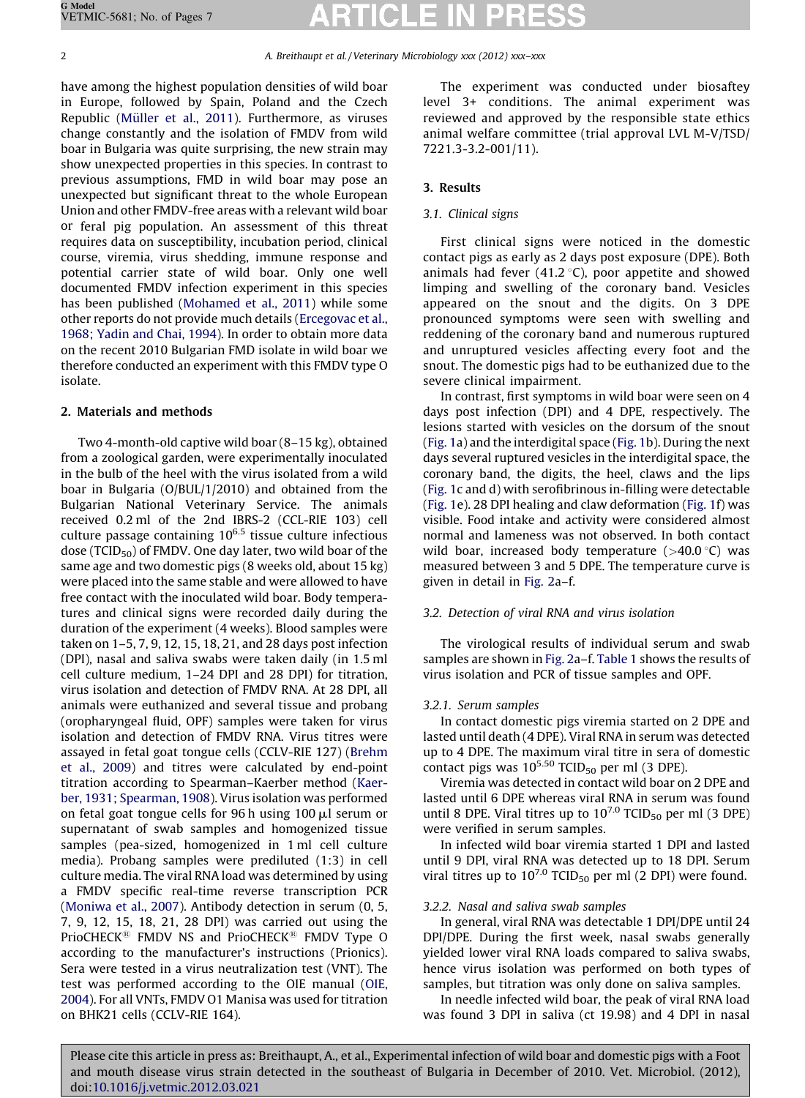2 A. Breithaupt et al. / Veterinary Microbiology xxx (2012) xxx-xxx

have among the highest population densities of wild boar in Europe, followed by Spain, Poland and the Czech Republic (Müller et al., 2011). Furthermore, as viruses change constantly and the isolation of FMDV from wild boar in Bulgaria was quite surprising, the new strain may show unexpected properties in this species. In contrast to previous assumptions, FMD in wild boar may pose an unexpected but significant threat to the whole European Union and other FMDV-free areas with a relevant wild boar or feral pig population. An assessment of this threat requires data on susceptibility, incubation period, clinical course, viremia, virus shedding, immune response and potential carrier state of wild boar. Only one well documented FMDV infection experiment in this species has been published ([Mohamed](#page-5-0) et al., 2011) while some other reports do not provide much details ([Ercegovac](#page-5-0) et al., [1968;](#page-5-0) Yadin and Chai, 1994). In order to obtain more data on the recent 2010 Bulgarian FMD isolate in wild boar we therefore conducted an experiment with this FMDV type O isolate.

### 2. Materials and methods

Two 4-month-old captive wild boar (8–15 kg), obtained from a zoological garden, were experimentally inoculated in the bulb of the heel with the virus isolated from a wild boar in Bulgaria (O/BUL/1/2010) and obtained from the Bulgarian National Veterinary Service. The animals received 0.2 ml of the 2nd IBRS-2 (CCL-RIE 103) cell culture passage containing  $10^{6.5}$  tissue culture infectious dose ( $TCID_{50}$ ) of FMDV. One day later, two wild boar of the same age and two domestic pigs (8 weeks old, about 15 kg) were placed into the same stable and were allowed to have free contact with the inoculated wild boar. Body temperatures and clinical signs were recorded daily during the duration of the experiment (4 weeks). Blood samples were taken on 1–5, 7, 9, 12, 15, 18, 21, and 28 days post infection (DPI), nasal and saliva swabs were taken daily (in 1.5 ml cell culture medium, 1–24 DPI and 28 DPI) for titration, virus isolation and detection of FMDV RNA. At 28 DPI, all animals were euthanized and several tissue and probang (oropharyngeal fluid, OPF) samples were taken for virus isolation and detection of FMDV RNA. Virus titres were assayed in fetal goat tongue cells (CCLV-RIE 127) ([Brehm](#page-5-0) et al., [2009\)](#page-5-0) and titres were calculated by end-point titration according to Spearman–Kaerber method ([Kaer](#page-5-0)ber, 1931; [Spearman,](#page-5-0) 1908). Virus isolation was performed on fetal goat tongue cells for 96 h using  $100 \mu l$  serum or supernatant of swab samples and homogenized tissue samples (pea-sized, homogenized in 1 ml cell culture media). Probang samples were prediluted (1:3) in cell culture media. The viral RNA load was determined by using a FMDV specific real-time reverse transcription PCR [\(Moniwa](#page-5-0) et al., 2007). Antibody detection in serum (0, 5, 7, 9, 12, 15, 18, 21, 28 DPI) was carried out using the PrioCHECK<sup>®</sup> FMDV NS and PrioCHECK<sup>®</sup> FMDV Type O according to the manufacturer's instructions (Prionics). Sera were tested in a virus neutralization test (VNT). The test was performed according to the OIE manual [\(OIE,](#page-5-0) [2004](#page-5-0)). For all VNTs, FMDV O1 Manisa was used for titration on BHK21 cells (CCLV-RIE 164).

The experiment was conducted under biosaftey level 3+ conditions. The animal experiment was reviewed and approved by the responsible state ethics animal welfare committee (trial approval LVL M-V/TSD/ 7221.3-3.2-001/11).

### 3. Results

### 3.1. Clinical signs

First clinical signs were noticed in the domestic contact pigs as early as 2 days post exposure (DPE). Both animals had fever  $(41.2 \degree C)$ , poor appetite and showed limping and swelling of the coronary band. Vesicles appeared on the snout and the digits. On 3 DPE pronounced symptoms were seen with swelling and reddening of the coronary band and numerous ruptured and unruptured vesicles affecting every foot and the snout. The domestic pigs had to be euthanized due to the severe clinical impairment.

In contrast, first symptoms in wild boar were seen on 4 days post infection (DPI) and 4 DPE, respectively. The lesions started with vesicles on the dorsum of the snout [\(Fig.](#page-2-0) 1a) and the interdigital space ([Fig.](#page-2-0) 1b). During the next days several ruptured vesicles in the interdigital space, the coronary band, the digits, the heel, claws and the lips [\(Fig.](#page-2-0) 1c and d) with serofibrinous in-filling were detectable [\(Fig.](#page-2-0) 1e). 28 DPI healing and claw deformation ([Fig.](#page-2-0) 1f) was visible. Food intake and activity were considered almost normal and lameness was not observed. In both contact wild boar, increased body temperature  $(>40.0\degree C)$  was measured between 3 and 5 DPE. The temperature curve is given in detail in [Fig.](#page-3-0) 2a–f.

### 3.2. Detection of viral RNA and virus isolation

The virological results of individual serum and swab samples are shown in [Fig.](#page-3-0) 2a–f. [Table](#page-4-0) 1 shows the results of virus isolation and PCR of tissue samples and OPF.

### 3.2.1. Serum samples

In contact domestic pigs viremia started on 2 DPE and lasted until death (4 DPE). Viral RNA in serum was detected up to 4 DPE. The maximum viral titre in sera of domestic contact pigs was  $10^{5.50}$  TCID<sub>50</sub> per ml (3 DPE).

Viremia was detected in contact wild boar on 2 DPE and lasted until 6 DPE whereas viral RNA in serum was found until 8 DPE. Viral titres up to  $10^{7.0}$  TCID<sub>50</sub> per ml (3 DPE) were verified in serum samples.

In infected wild boar viremia started 1 DPI and lasted until 9 DPI, viral RNA was detected up to 18 DPI. Serum viral titres up to  $10^{7.0}$  TCID<sub>50</sub> per ml (2 DPI) were found.

### 3.2.2. Nasal and saliva swab samples

In general, viral RNA was detectable 1 DPI/DPE until 24 DPI/DPE. During the first week, nasal swabs generally yielded lower viral RNA loads compared to saliva swabs, hence virus isolation was performed on both types of samples, but titration was only done on saliva samples.

In needle infected wild boar, the peak of viral RNA load was found 3 DPI in saliva (ct 19.98) and 4 DPI in nasal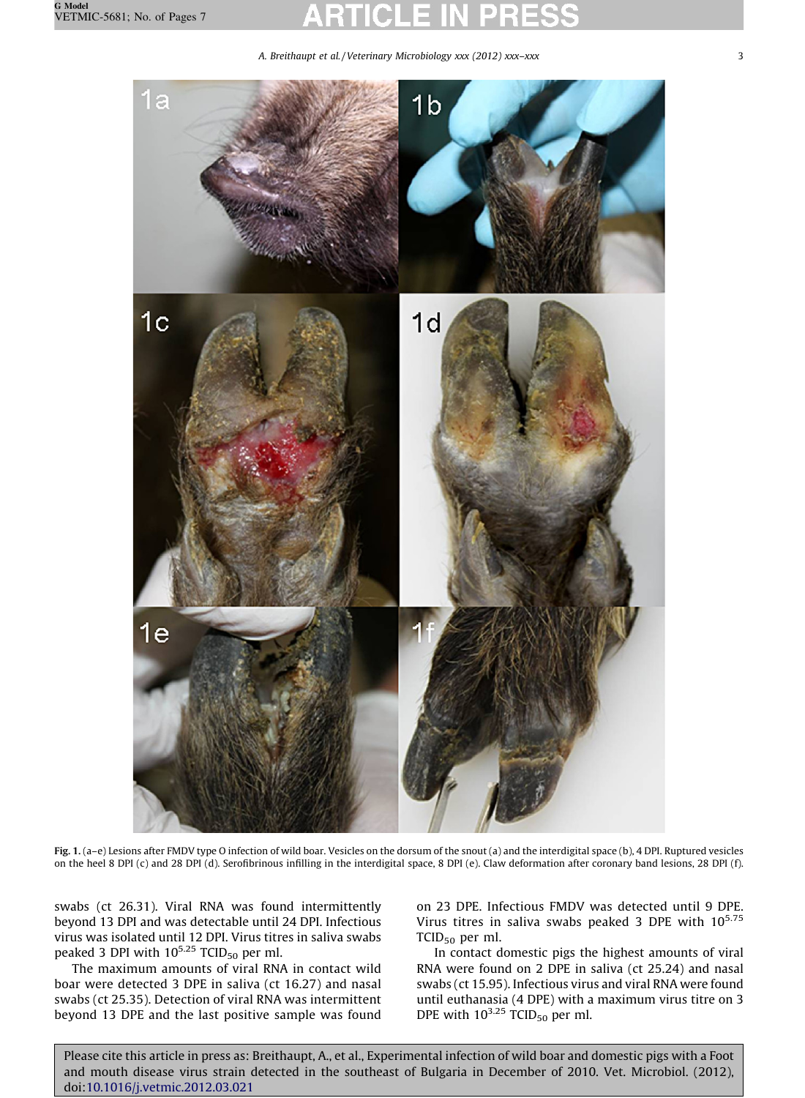<span id="page-2-0"></span> $1a$ 

1b

A. Breithaupt et al. / Veterinary Microbiology xxx (2012) xxx–xxx 3





Fig. 1. (a–e) Lesions after FMDV type O infection of wild boar. Vesicles on the dorsum of the snout (a) and the interdigital space (b), 4 DPI. Ruptured vesicles on the heel 8 DPI (c) and 28 DPI (d). Serofibrinous infilling in the interdigital space, 8 DPI (e). Claw deformation after coronary band lesions, 28 DPI (f).

swabs (ct 26.31). Viral RNA was found intermittently beyond 13 DPI and was detectable until 24 DPI. Infectious virus was isolated until 12 DPI. Virus titres in saliva swabs peaked 3 DPI with 10<sup>5.25</sup> TCID<sub>50</sub> per ml.

The maximum amounts of viral RNA in contact wild boar were detected 3 DPE in saliva (ct 16.27) and nasal swabs (ct 25.35). Detection of viral RNA was intermittent beyond 13 DPE and the last positive sample was found on 23 DPE. Infectious FMDV was detected until 9 DPE. Virus titres in saliva swabs peaked 3 DPE with  $10^{5.75}$ TCID<sub>50</sub> per ml.

In contact domestic pigs the highest amounts of viral RNA were found on 2 DPE in saliva (ct 25.24) and nasal swabs (ct 15.95). Infectious virus and viral RNA were found until euthanasia (4 DPE) with a maximum virus titre on 3 DPE with  $10^{3.25}$  TCID<sub>50</sub> per ml.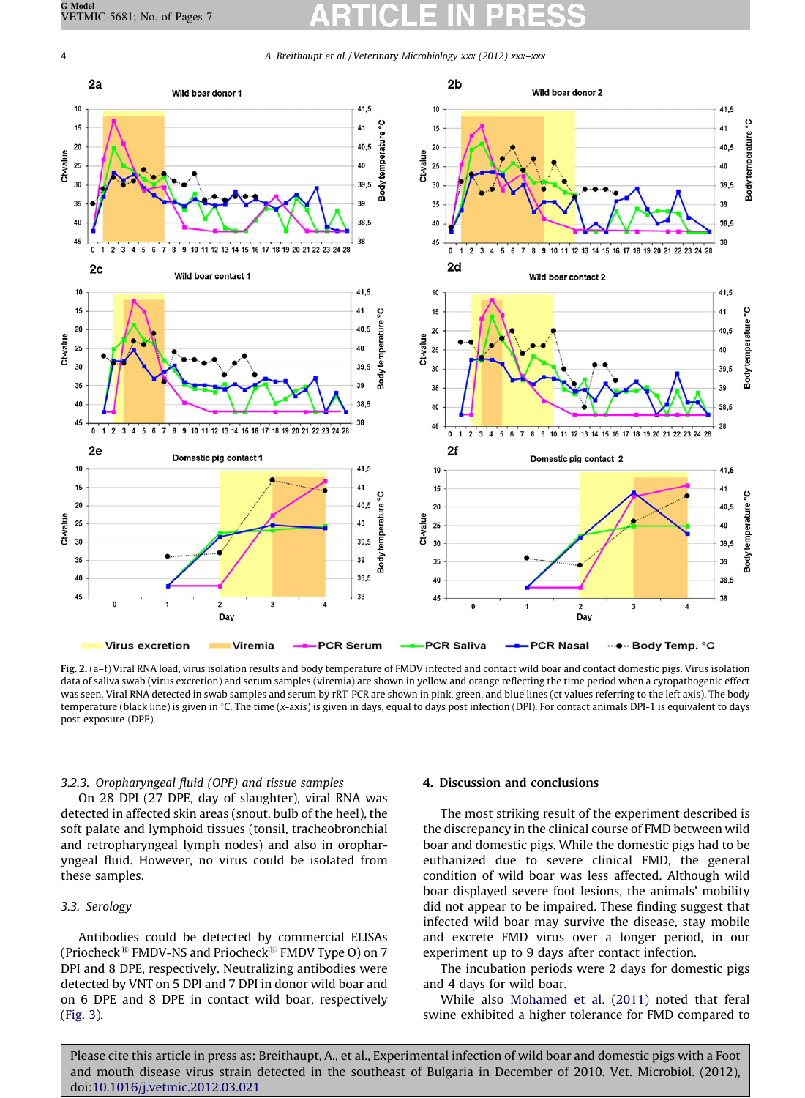<span id="page-3-0"></span>4 A. Breithaupt et al. / Veterinary Microbiology xxx (2012) xxx–xxx



Fig. 2. (a-f) Viral RNA load, virus isolation results and body temperature of FMDV infected and contact wild boar and contact domestic pigs. Virus isolation data of saliva swab (virus excretion) and serum samples (viremia) are shown in yellow and orange reflecting the time period when a cytopathogenic effect was seen. Viral RNA detected in swab samples and serum by rRT-PCR are shown in pink, green, and blue lines (ct values referring to the left axis). The body temperature (black line) is given in °C. The time (x-axis) is given in days, equal to days post infection (DPI). For contact animals DPI-1 is equivalent to days post exposure (DPE).

### 3.2.3. Oropharyngeal fluid (OPF) and tissue samples

On 28 DPI (27 DPE, day of slaughter), viral RNA was detected in affected skin areas (snout, bulb of the heel), the soft palate and lymphoid tissues (tonsil, tracheobronchial and retropharyngeal lymph nodes) and also in oropharyngeal fluid. However, no virus could be isolated from these samples.

### 3.3. Serology

Antibodies could be detected by commercial ELISAs (Priocheck<sup>®</sup> FMDV-NS and Priocheck<sup>®</sup> FMDV Type O) on 7 DPI and 8 DPE, respectively. Neutralizing antibodies were detected by VNT on 5 DPI and 7 DPI in donor wild boar and on 6 DPE and 8 DPE in contact wild boar, respectively [\(Fig.](#page-4-0) 3).

### 4. Discussion and conclusions

The most striking result of the experiment described is the discrepancy in the clinical course of FMD between wild boar and domestic pigs. While the domestic pigs had to be euthanized due to severe clinical FMD, the general condition of wild boar was less affected. Although wild boar displayed severe foot lesions, the animals' mobility did not appear to be impaired. These finding suggest that infected wild boar may survive the disease, stay mobile and excrete FMD virus over a longer period, in our experiment up to 9 days after contact infection.

The incubation periods were 2 days for domestic pigs and 4 days for wild boar.

While also [Mohamed](#page-5-0) et al. (2011) noted that feral swine exhibited a higher tolerance for FMD compared to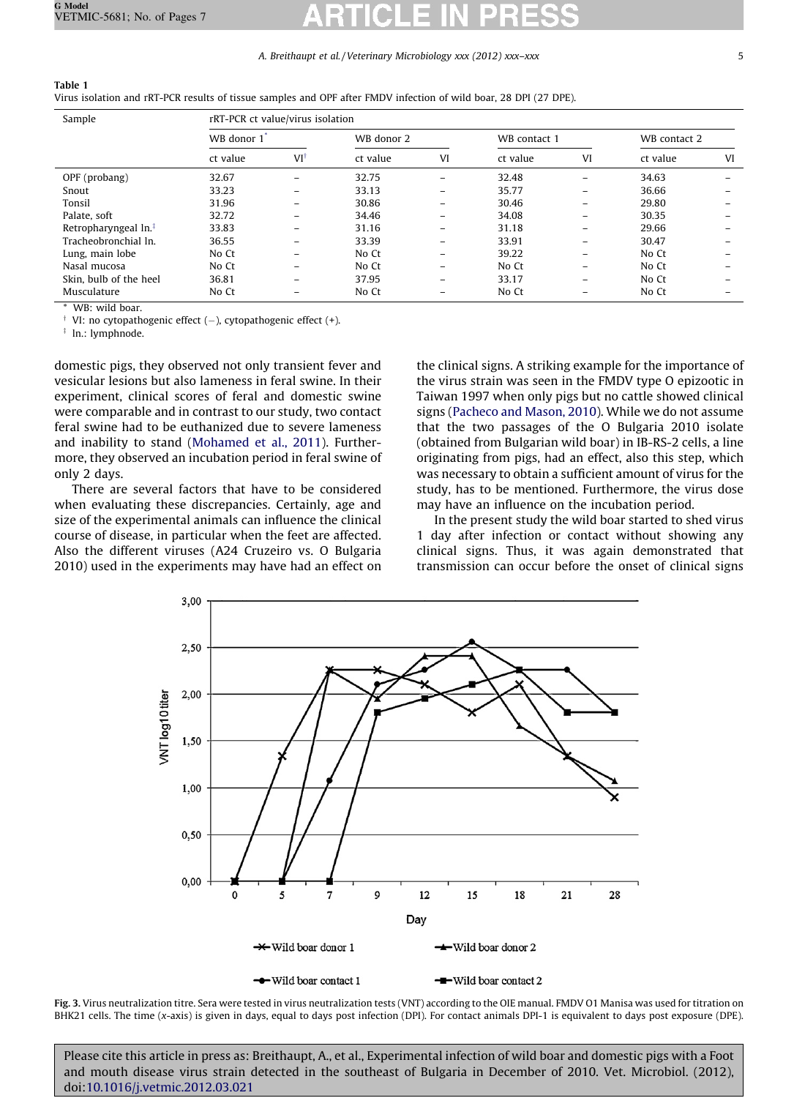### A. Breithaupt et al./Veterinary Microbiology xxx (2012) xxx–xxx 5

<span id="page-4-0"></span>

| rRT-PCR ct value/virus isolation |            |                                                                                                                   |  |  |  |
|----------------------------------|------------|-------------------------------------------------------------------------------------------------------------------|--|--|--|
| WB donor 1 <sup>*</sup>          | WB donor 2 | WB contact 1                                                                                                      |  |  |  |
|                                  |            | Virus isolation and rRT-PCR results of tissue samples and OPF after FMDV infection of wild boar, 28 DPI (27 DPE). |  |  |  |

|                                    | WB donor 1 |                          | WB donor 2 |          | WB contact 1 |                          | WB contact 2 |    |
|------------------------------------|------------|--------------------------|------------|----------|--------------|--------------------------|--------------|----|
|                                    | ct value   | $VI^{\dagger}$           | ct value   | VI       | ct value     | VI                       | ct value     | VI |
| OPF (probang)                      | 32.67      | $\overline{\phantom{0}}$ | 32.75      | $\equiv$ | 32.48        | $\overline{\phantom{0}}$ | 34.63        |    |
| Snout                              | 33.23      | -                        | 33.13      | $-$      | 35.77        | $\overline{\phantom{0}}$ | 36.66        |    |
| Tonsil                             | 31.96      | -                        | 30.86      | $-$      | 30.46        | $\overline{\phantom{m}}$ | 29.80        |    |
| Palate, soft                       | 32.72      | -                        | 34.46      | $-$      | 34.08        | $-$                      | 30.35        |    |
| Retropharyngeal $\ln$ <sup>‡</sup> | 33.83      | -                        | 31.16      | $-$      | 31.18        | $\overline{\phantom{m}}$ | 29.66        |    |
| Tracheobronchial In.               | 36.55      | -                        | 33.39      | $-$      | 33.91        | $\overline{\phantom{0}}$ | 30.47        |    |
| Lung, main lobe                    | No Ct      | -                        | No Ct      | $-$      | 39.22        | $\overline{\phantom{m}}$ | No Ct        |    |
| Nasal mucosa                       | No Ct      | -                        | No Ct      | $-$      | No Ct        | $-$                      | No Ct        |    |
| Skin, bulb of the heel             | 36.81      | -                        | 37.95      | $-$      | 33.17        | $\overline{\phantom{m}}$ | No Ct        |    |
| Musculature                        | No Ct      | -                        | No Ct      | -        | No Ct        | $-$                      | No Ct        |    |

WB: wild boar.

 $\dagger$  VI: no cytopathogenic effect  $(-)$ , cytopathogenic effect  $(+)$ .

 $\frac{1}{2}$  ln.: lymphnode.

domestic pigs, they observed not only transient fever and vesicular lesions but also lameness in feral swine. In their experiment, clinical scores of feral and domestic swine were comparable and in contrast to our study, two contact feral swine had to be euthanized due to severe lameness and inability to stand [\(Mohamed](#page-5-0) et al., 2011). Furthermore, they observed an incubation period in feral swine of only 2 days.

There are several factors that have to be considered when evaluating these discrepancies. Certainly, age and size of the experimental animals can influence the clinical course of disease, in particular when the feet are affected. Also the different viruses (A24 Cruzeiro vs. O Bulgaria 2010) used in the experiments may have had an effect on

the clinical signs. A striking example for the importance of the virus strain was seen in the FMDV type O epizootic in Taiwan 1997 when only pigs but no cattle showed clinical signs [\(Pacheco](#page-5-0) and Mason, 2010). While we do not assume that the two passages of the O Bulgaria 2010 isolate (obtained from Bulgarian wild boar) in IB-RS-2 cells, a line originating from pigs, had an effect, also this step, which was necessary to obtain a sufficient amount of virus for the study, has to be mentioned. Furthermore, the virus dose may have an influence on the incubation period.

In the present study the wild boar started to shed virus 1 day after infection or contact without showing any clinical signs. Thus, it was again demonstrated that transmission can occur before the onset of clinical signs



Fig. 3. Virus neutralization titre. Sera were tested in virus neutralization tests (VNT) according to the OIE manual. FMDV O1 Manisa was used for titration on BHK21 cells. The time (x-axis) is given in days, equal to days post infection (DPI). For contact animals DPI-1 is equivalent to days post exposure (DPE).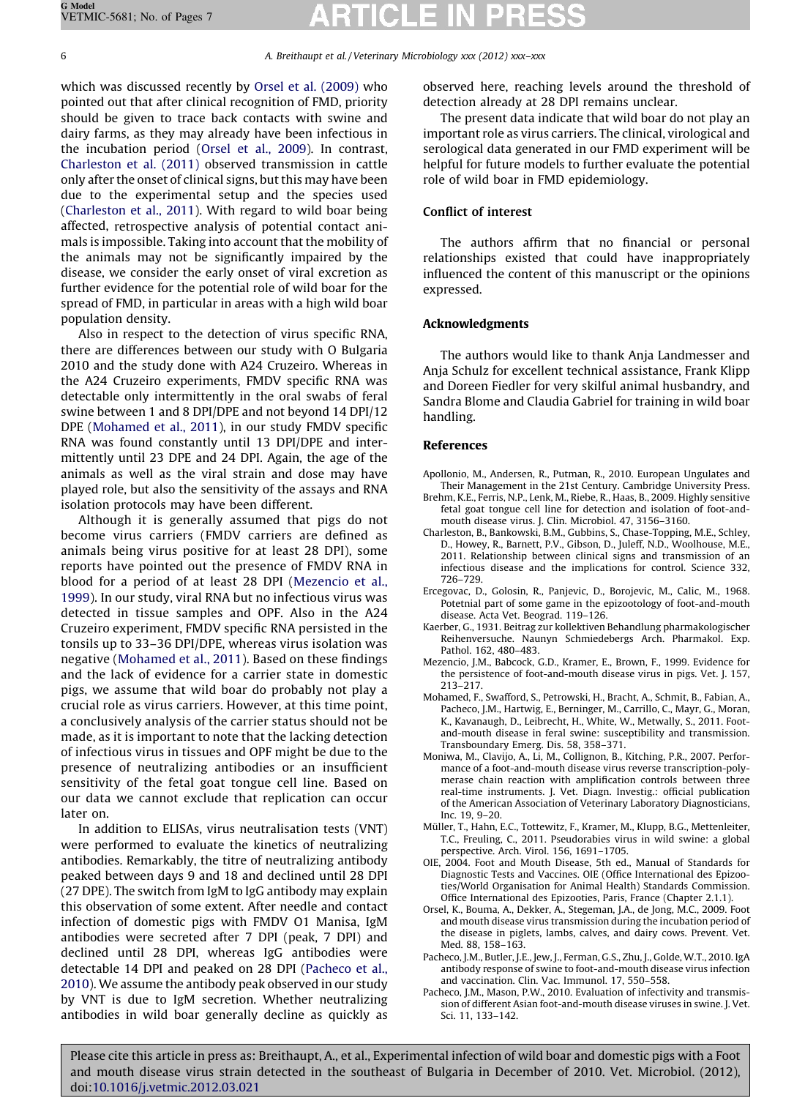### <span id="page-5-0"></span>6 A. Breithaupt et al. / Veterinary Microbiology xxx (2012) xxx–xxx

which was discussed recently by Orsel et al. (2009) who pointed out that after clinical recognition of FMD, priority should be given to trace back contacts with swine and dairy farms, as they may already have been infectious in the incubation period (Orsel et al., 2009). In contrast, Charleston et al. (2011) observed transmission in cattle only after the onset of clinical signs, but this may have been due to the experimental setup and the species used (Charleston et al., 2011). With regard to wild boar being affected, retrospective analysis of potential contact animals is impossible. Taking into account that the mobility of the animals may not be significantly impaired by the disease, we consider the early onset of viral excretion as further evidence for the potential role of wild boar for the spread of FMD, in particular in areas with a high wild boar population density.

Also in respect to the detection of virus specific RNA, there are differences between our study with O Bulgaria 2010 and the study done with A24 Cruzeiro. Whereas in the A24 Cruzeiro experiments, FMDV specific RNA was detectable only intermittently in the oral swabs of feral swine between 1 and 8 DPI/DPE and not beyond 14 DPI/12 DPE (Mohamed et al., 2011), in our study FMDV specific RNA was found constantly until 13 DPI/DPE and intermittently until 23 DPE and 24 DPI. Again, the age of the animals as well as the viral strain and dose may have played role, but also the sensitivity of the assays and RNA isolation protocols may have been different.

Although it is generally assumed that pigs do not become virus carriers (FMDV carriers are defined as animals being virus positive for at least 28 DPI), some reports have pointed out the presence of FMDV RNA in blood for a period of at least 28 DPI (Mezencio et al., 1999). In our study, viral RNA but no infectious virus was detected in tissue samples and OPF. Also in the A24 Cruzeiro experiment, FMDV specific RNA persisted in the tonsils up to 33–36 DPI/DPE, whereas virus isolation was negative (Mohamed et al., 2011). Based on these findings and the lack of evidence for a carrier state in domestic pigs, we assume that wild boar do probably not play a crucial role as virus carriers. However, at this time point, a conclusively analysis of the carrier status should not be made, as it is important to note that the lacking detection of infectious virus in tissues and OPF might be due to the presence of neutralizing antibodies or an insufficient sensitivity of the fetal goat tongue cell line. Based on our data we cannot exclude that replication can occur later on.

In addition to ELISAs, virus neutralisation tests (VNT) were performed to evaluate the kinetics of neutralizing antibodies. Remarkably, the titre of neutralizing antibody peaked between days 9 and 18 and declined until 28 DPI (27 DPE). The switch from IgM to IgG antibody may explain this observation of some extent. After needle and contact infection of domestic pigs with FMDV O1 Manisa, IgM antibodies were secreted after 7 DPI (peak, 7 DPI) and declined until 28 DPI, whereas IgG antibodies were detectable 14 DPI and peaked on 28 DPI (Pacheco et al., 2010). We assume the antibody peak observed in our study by VNT is due to IgM secretion. Whether neutralizing antibodies in wild boar generally decline as quickly as

observed here, reaching levels around the threshold of detection already at 28 DPI remains unclear.

The present data indicate that wild boar do not play an important role as virus carriers. The clinical, virological and serological data generated in our FMD experiment will be helpful for future models to further evaluate the potential role of wild boar in FMD epidemiology.

### Conflict of interest

The authors affirm that no financial or personal relationships existed that could have inappropriately influenced the content of this manuscript or the opinions expressed.

### Acknowledgments

The authors would like to thank Anja Landmesser and Anja Schulz for excellent technical assistance, Frank Klipp and Doreen Fiedler for very skilful animal husbandry, and Sandra Blome and Claudia Gabriel for training in wild boar handling.

### References

- Apollonio, M., Andersen, R., Putman, R., 2010. European Ungulates and Their Management in the 21st Century. Cambridge University Press.
- Brehm, K.E., Ferris, N.P., Lenk, M., Riebe, R., Haas, B., 2009. Highly sensitive fetal goat tongue cell line for detection and isolation of foot-andmouth disease virus. J. Clin. Microbiol. 47, 3156–3160.
- Charleston, B., Bankowski, B.M., Gubbins, S., Chase-Topping, M.E., Schley, D., Howey, R., Barnett, P.V., Gibson, D., Juleff, N.D., Woolhouse, M.E., 2011. Relationship between clinical signs and transmission of an infectious disease and the implications for control. Science 332, 726–729.
- Ercegovac, D., Golosin, R., Panjevic, D., Borojevic, M., Calic, M., 1968. Potetnial part of some game in the epizootology of foot-and-mouth disease. Acta Vet. Beograd. 119–126.
- Kaerber, G., 1931. Beitrag zur kollektiven Behandlung pharmakologischer Reihenversuche. Naunyn Schmiedebergs Arch. Pharmakol. Exp. Pathol. 162, 480–483.
- Mezencio, J.M., Babcock, G.D., Kramer, E., Brown, F., 1999. Evidence for the persistence of foot-and-mouth disease virus in pigs. Vet. J. 157, 213–217.
- Mohamed, F., Swafford, S., Petrowski, H., Bracht, A., Schmit, B., Fabian, A., Pacheco, J.M., Hartwig, E., Berninger, M., Carrillo, C., Mayr, G., Moran, K., Kavanaugh, D., Leibrecht, H., White, W., Metwally, S., 2011. Footand-mouth disease in feral swine: susceptibility and transmission. Transboundary Emerg. Dis. 58, 358–371.
- Moniwa, M., Clavijo, A., Li, M., Collignon, B., Kitching, P.R., 2007. Performance of a foot-and-mouth disease virus reverse transcription-polymerase chain reaction with amplification controls between three real-time instruments. J. Vet. Diagn. Investig.: official publication of the American Association of Veterinary Laboratory Diagnosticians, Inc. 19, 9–20.
- Müller, T., Hahn, E.C., Tottewitz, F., Kramer, M., Klupp, B.G., Mettenleiter, T.C., Freuling, C., 2011. Pseudorabies virus in wild swine: a global perspective. Arch. Virol. 156, 1691–1705.
- OIE, 2004. Foot and Mouth Disease, 5th ed., Manual of Standards for Diagnostic Tests and Vaccines. OIE (Office International des Epizooties/World Organisation for Animal Health) Standards Commission. Office International des Epizooties, Paris, France (Chapter 2.1.1).
- Orsel, K., Bouma, A., Dekker, A., Stegeman, J.A., de Jong, M.C., 2009. Foot and mouth disease virus transmission during the incubation period of the disease in piglets, lambs, calves, and dairy cows. Prevent. Vet. Med. 88, 158–163.
- Pacheco, J.M., Butler, J.E., Jew, J., Ferman, G.S., Zhu, J., Golde, W.T., 2010. IgA antibody response of swine to foot-and-mouth disease virus infection and vaccination. Clin. Vac. Immunol. 17, 550–558.
- Pacheco, J.M., Mason, P.W., 2010. Evaluation of infectivity and transmission of different Asian foot-and-mouth disease viruses in swine. J. Vet. Sci. 11, 133–142.